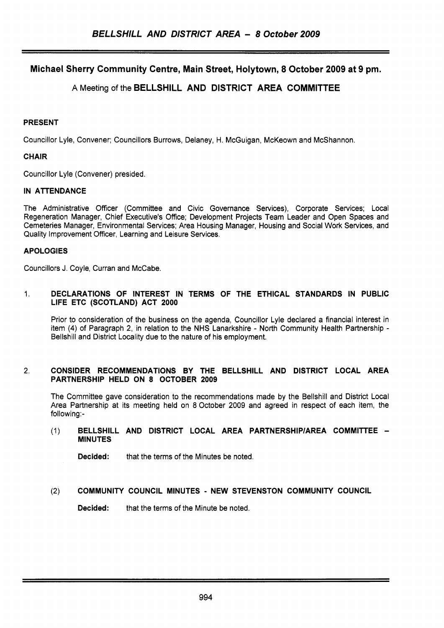# **Michael Sherry Community Centre, Main Street, Holytown, 8 October 2009 at 9 pm.**

## A Meeting of the **BELLSHILL AND DISTRICT AREA COMMITTEE**

### **PRESENT**

Councillor Lyle, Convener; Councillors Burrows, Delaney, H. McGuigan, McKeown and McShannon.

### **CHAIR**

Councillor Lyle (Convener) presided.

### **IN ATTENDANCE**

The Administrative Officer (Committee and Civic Governance Services), Corporate Services; Local Regeneration Manager, Chief Executive's Office; Development Projects Team Leader and Open Spaces and Cemeteries Manager, Environmental Services; Area Housing Manager, Housing and Social Work Services, and Quality Improvement Officer, Learning and Leisure Services.

### **APOLOGIES**

Councillors J. Coyle, Curran and McCabe.

### 1. **DECLARATIONS OF INTEREST IN TERMS OF THE ETHICAL STANDARDS IN PUBLIC LIFE ETC (SCOTLAND) ACT 2000**

Prior to consideration of the business on the agenda, Councillor Lyle declared a financial interest in item **(4)** of Paragraph 2, in relation to the NHS Lanarkshire - North Community Health Partnership - Bellshill and District Locality due to the nature of his employment.

### 2. **CONSIDER RECOMMENDATIONS BY THE BELLSHILL AND DISTRICT LOCAL AREA PARTNERSHIP HELD ON 8 OCTOBER 2009**

The Committee gave consideration to the recommendations made by the Bellshill and District Local Area Partnership at its meeting held on 8 October 2009 and agreed in respect of each item, the following:-

### (1) **BELLSHILL AND DISTRICT LOCAL AREA PARTNERSHIPlAREA COMMITTEE** - **MINUTES**

**Decided:** that the terms of the Minutes be noted.

## (2) **COMMUNITY COUNCIL MINUTES** - **NEW STEVENSTON COMMUNITY COUNCIL**

**Decided:** that the terms of the Minute be noted.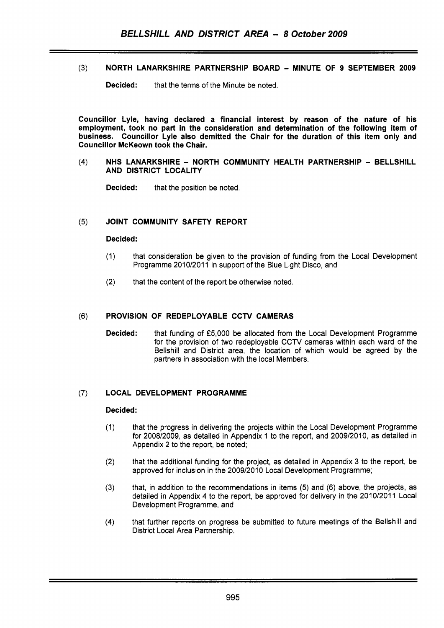**(3)** NORTH LANARKSHIRE PARTNERSHIP BOARD - MINUTE OF 9 SEPTEMBER 2009

**Decided:** that the terms of the Minute be noted.

Councillor Lyle, having declared a financial interest by reason of the nature of his employment, took no part in the consideration and determination of the following item of business. Councillor Lyle also demitted the Chair for the duration of this item only and Councillor McKeown took the Chair.

### $(4)$ NHS LANARKSHIRE - NORTH COMMUNITY HEALTH PARTNERSHIP - BELLSHILL AND DISTRICT LOCALITY

**Decided:** that the position be noted.

#### JOINT COMMUNITY SAFETY REPORT  $(5)$

### Decided:

- (1) that consideration be given to the provision of funding from the Local Development Programme 2010/2011 in support of the Blue Light Disco, and
- (2) that the content of the report be otherwise noted.

#### PROVISION **OF** REDEPLOYABLE CCTV CAMERAS  $(6)$

Decided: that funding of *f5,000* be allocated from the Local Development Programme for the provision of two redeployable CCTV cameras within each ward of the Bellshill and District area, the location of which would be agreed by the partners in association with the local Members.

### (7) LOCAL DEVELOPMENT PROGRAMME

### Decided:

- (1) that the progress in delivering the projects within the Local Development Programme for 2008/2009, as detailed in Appendix 1 to the report, and 2009/2010, as detailed in Appendix 2 to the report, be noted;
- (2) that the additional funding for the project, as detailed in Appendix 3 to the report, be approved for inclusion in the 2009/2010 Local Development Programme;
- **(3)** that, in addition to the recommendations in items (5) and (6) above, the projects, as detailed in Appendix **4** to the report, be approved for delivery in the 2010/2011 Local Development Programme, and
- **(4)** that further reports on progress be submitted to future meetings of the Bellshill and District Local Area Partnership.